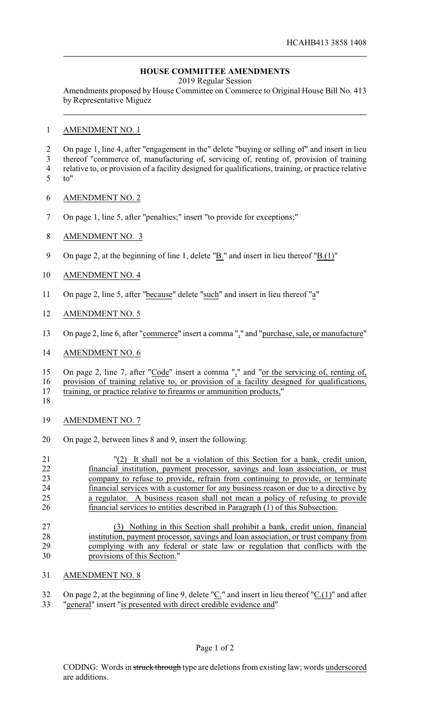## **HOUSE COMMITTEE AMENDMENTS**

2019 Regular Session

Amendments proposed by House Committee on Commerce to Original House Bill No. 413 by Representative Miguez

AMENDMENT NO. 1

 On page 1, line 4, after "engagement in the" delete "buying or selling of" and insert in lieu thereof "commerce of, manufacturing of, servicing of, renting of, provision of training relative to, or provision of a facility designed for qualifications, training, or practice relative

- to"
- AMENDMENT NO. 2
- On page 1, line 5, after "penalties;" insert "to provide for exceptions;"

## AMENDMENT NO. 3

9 On page 2, at the beginning of line 1, delete " $\underline{B}$ ." and insert in lieu thereof " $\underline{B}(1)$ "

## AMENDMENT NO. 4

- On page 2, line 5, after "because" delete "such" and insert in lieu thereof "a"
- AMENDMENT NO. 5
- On page 2, line 6, after "commerce" insert a comma "," and "purchase, sale, or manufacture"
- AMENDMENT NO. 6

15 On page 2, line 7, after "Code" insert a comma "," and "or the servicing of, renting of, provision of training relative to, or provision of a facility designed for qualifications,

training, or practice relative to firearms or ammunition products,"

- 
- AMENDMENT NO. 7
- On page 2, between lines 8 and 9, insert the following:
- "(2) It shall not be a violation of this Section for a bank, credit union, financial institution, payment processor, savings and loan association, or trust company to refuse to provide, refrain from continuing to provide, or terminate financial services with a customer for any business reason or due to a directive by a regulator. A business reason shall not mean a policy of refusing to provide financial services to entities described in Paragraph (1) of this Subsection.
- (3) Nothing in this Section shall prohibit a bank, credit union, financial 28 institution, payment processor, savings and loan association, or trust company from<br>29 complying with any federal or state law or regulation that conflicts with the complying with any federal or state law or regulation that conflicts with the provisions of this Section."
- AMENDMENT NO. 8
- 32 On page 2, at the beginning of line 9, delete " $C$ ." and insert in lieu thereof " $C.(1)$ " and after
- "general" insert "is presented with direct credible evidence and"